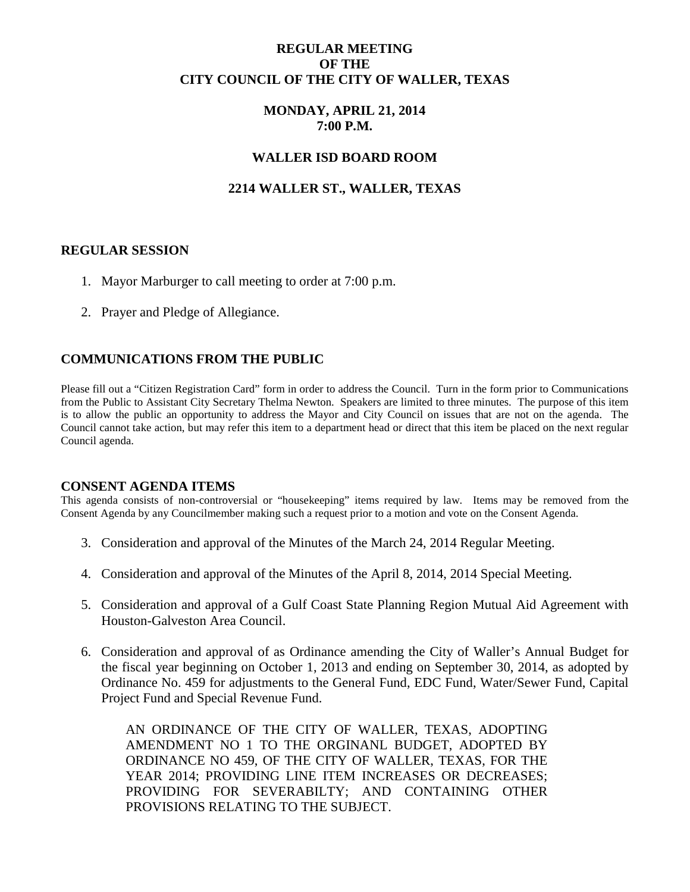## **REGULAR MEETING OF THE CITY COUNCIL OF THE CITY OF WALLER, TEXAS**

## **MONDAY, APRIL 21, 2014 7:00 P.M.**

### **WALLER ISD BOARD ROOM**

# **2214 WALLER ST., WALLER, TEXAS**

### **REGULAR SESSION**

- 1. Mayor Marburger to call meeting to order at 7:00 p.m.
- 2. Prayer and Pledge of Allegiance.

### **COMMUNICATIONS FROM THE PUBLIC**

Please fill out a "Citizen Registration Card" form in order to address the Council. Turn in the form prior to Communications from the Public to Assistant City Secretary Thelma Newton. Speakers are limited to three minutes. The purpose of this item is to allow the public an opportunity to address the Mayor and City Council on issues that are not on the agenda. The Council cannot take action, but may refer this item to a department head or direct that this item be placed on the next regular Council agenda.

#### **CONSENT AGENDA ITEMS**

This agenda consists of non-controversial or "housekeeping" items required by law. Items may be removed from the Consent Agenda by any Councilmember making such a request prior to a motion and vote on the Consent Agenda.

- 3. Consideration and approval of the Minutes of the March 24, 2014 Regular Meeting.
- 4. Consideration and approval of the Minutes of the April 8, 2014, 2014 Special Meeting.
- 5. Consideration and approval of a Gulf Coast State Planning Region Mutual Aid Agreement with Houston-Galveston Area Council.
- 6. Consideration and approval of as Ordinance amending the City of Waller's Annual Budget for the fiscal year beginning on October 1, 2013 and ending on September 30, 2014, as adopted by Ordinance No. 459 for adjustments to the General Fund, EDC Fund, Water/Sewer Fund, Capital Project Fund and Special Revenue Fund.

AN ORDINANCE OF THE CITY OF WALLER, TEXAS, ADOPTING AMENDMENT NO 1 TO THE ORGINANL BUDGET, ADOPTED BY ORDINANCE NO 459, OF THE CITY OF WALLER, TEXAS, FOR THE YEAR 2014; PROVIDING LINE ITEM INCREASES OR DECREASES; PROVIDING FOR SEVERABILTY; AND CONTAINING OTHER PROVISIONS RELATING TO THE SUBJECT.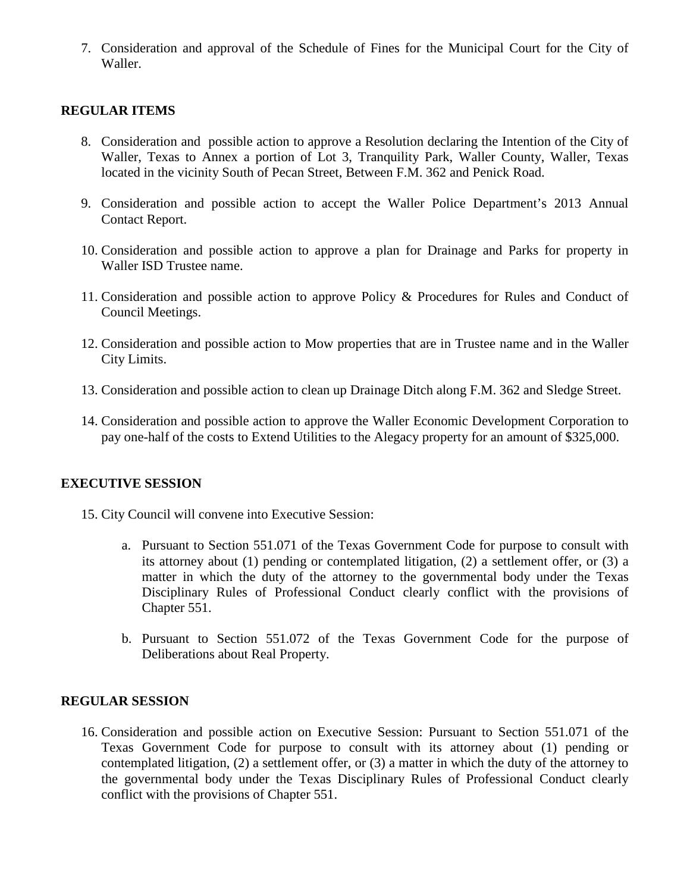7. Consideration and approval of the Schedule of Fines for the Municipal Court for the City of Waller.

# **REGULAR ITEMS**

- 8. Consideration and possible action to approve a Resolution declaring the Intention of the City of Waller, Texas to Annex a portion of Lot 3, Tranquility Park, Waller County, Waller, Texas located in the vicinity South of Pecan Street, Between F.M. 362 and Penick Road.
- 9. Consideration and possible action to accept the Waller Police Department's 2013 Annual Contact Report.
- 10. Consideration and possible action to approve a plan for Drainage and Parks for property in Waller ISD Trustee name.
- 11. Consideration and possible action to approve Policy & Procedures for Rules and Conduct of Council Meetings.
- 12. Consideration and possible action to Mow properties that are in Trustee name and in the Waller City Limits.
- 13. Consideration and possible action to clean up Drainage Ditch along F.M. 362 and Sledge Street.
- 14. Consideration and possible action to approve the Waller Economic Development Corporation to pay one-half of the costs to Extend Utilities to the Alegacy property for an amount of \$325,000.

### **EXECUTIVE SESSION**

- 15. City Council will convene into Executive Session:
	- a. Pursuant to Section 551.071 of the Texas Government Code for purpose to consult with its attorney about (1) pending or contemplated litigation, (2) a settlement offer, or (3) a matter in which the duty of the attorney to the governmental body under the Texas Disciplinary Rules of Professional Conduct clearly conflict with the provisions of Chapter 551.
	- b. Pursuant to Section 551.072 of the Texas Government Code for the purpose of Deliberations about Real Property.

### **REGULAR SESSION**

16. Consideration and possible action on Executive Session: Pursuant to Section 551.071 of the Texas Government Code for purpose to consult with its attorney about (1) pending or contemplated litigation, (2) a settlement offer, or (3) a matter in which the duty of the attorney to the governmental body under the Texas Disciplinary Rules of Professional Conduct clearly conflict with the provisions of Chapter 551.